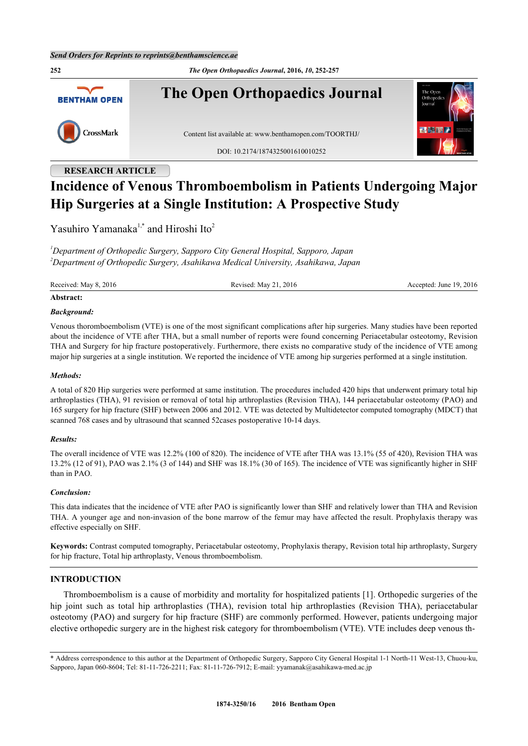**252** *The Open Orthopaedics Journal***, 2016,** *10***, 252-257 The Open Orthopaedics Journal BENTHAM OPEN** CrossMark Content list available at: [www.benthamopen.com/TOORTHJ/](http://www.benthamopen.com/TOORTHJ/) DOI: [10.2174/1874325001610010252](http://dx.doi.org/10.2174/1874325001610010252)

# **RESEARCH ARTICLE**

# **Incidence of Venous Thromboembolism in Patients Undergoing Major Hip Surgeries at a Single Institution: A Prospective Study**

Yasuhiro Yamanaka<sup>[1](#page-0-0),[\\*](#page-0-1)</sup> and Hiroshi Ito<sup>[2](#page-0-2)</sup>

<span id="page-0-2"></span><span id="page-0-0"></span>*<sup>1</sup>Department of Orthopedic Surgery, Sapporo City General Hospital, Sapporo, Japan <sup>2</sup>Department of Orthopedic Surgery, Asahikawa Medical University, Asahikawa, Japan*

Received: May 8, 2016 Revised: May 21, 2016 Revised: May 21, 2016 Accepted: June 19, 2016

# **Abstract:**

# *Background:*

Venous thoromboembolism (VTE) is one of the most significant complications after hip surgeries. Many studies have been reported about the incidence of VTE after THA, but a small number of reports were found concerning Periacetabular osteotomy, Revision THA and Surgery for hip fracture postoperatively. Furthermore, there exists no comparative study of the incidence of VTE among major hip surgeries at a single institution. We reported the incidence of VTE among hip surgeries performed at a single institution.

# *Methods:*

A total of 820 Hip surgeries were performed at same institution. The procedures included 420 hips that underwent primary total hip arthroplasties (THA), 91 revision or removal of total hip arthroplasties (Revision THA), 144 periacetabular osteotomy (PAO) and 165 surgery for hip fracture (SHF) between 2006 and 2012. VTE was detected by Multidetector computed tomography (MDCT) that scanned 768 cases and by ultrasound that scanned 52cases postoperative 10-14 days.

# *Results:*

The overall incidence of VTE was 12.2% (100 of 820). The incidence of VTE after THA was 13.1% (55 of 420), Revision THA was 13.2% (12 of 91), PAO was 2.1% (3 of 144) and SHF was 18.1% (30 of 165). The incidence of VTE was significantly higher in SHF than in PAO.

# *Conclusion:*

This data indicates that the incidence of VTE after PAO is significantly lower than SHF and relatively lower than THA and Revision THA. A younger age and non-invasion of the bone marrow of the femur may have affected the result. Prophylaxis therapy was effective especially on SHF.

**Keywords:** Contrast computed tomography, Periacetabular osteotomy, Prophylaxis therapy, Revision total hip arthroplasty, Surgery for hip fracture, Total hip arthroplasty, Venous thromboembolism.

# **INTRODUCTION**

Thromboembolism is a cause of morbidity and mortality for hospitalized patients [\[1\]](#page-5-0). Orthopedic surgeries of the hip joint such as total hip arthroplasties (THA), revision total hip arthroplasties (Revision THA), periacetabular osteotomy (PAO) and surgery for hip fracture (SHF) are commonly performed. However, patients undergoing major elective orthopedic surgery are in the highest risk category for thromboembolism (VTE). VTE includes deep venous th-

<span id="page-0-1"></span><sup>\*</sup> Address correspondence to this author at the Department of Orthopedic Surgery, Sapporo City General Hospital 1-1 North-11 West-13, Chuou-ku, Sapporo, Japan 060-8604; Tel: 81-11-726-2211; Fax: 81-11-726-7912; E-mail: [yyamanak@asahikawa-med.ac.jp](mailto:yyamanak@asahikawa-med.ac.jp)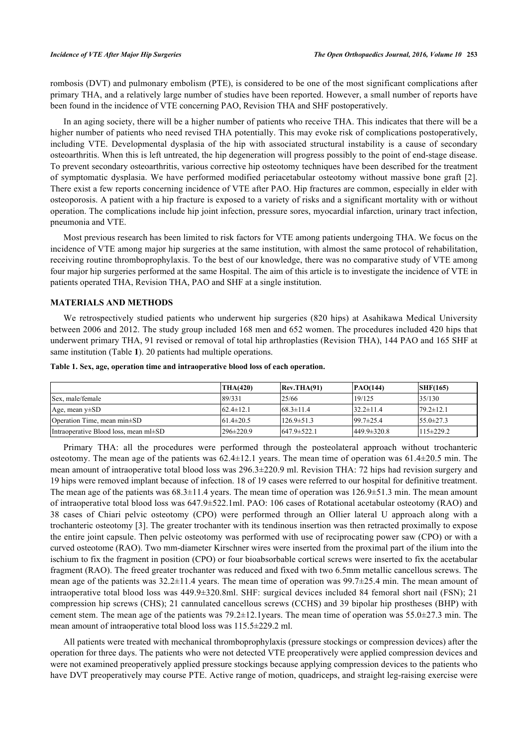rombosis (DVT) and pulmonary embolism (PTE), is considered to be one of the most significant complications after primary THA, and a relatively large number of studies have been reported. However, a small number of reports have been found in the incidence of VTE concerning PAO, Revision THA and SHF postoperatively.

In an aging society, there will be a higher number of patients who receive THA. This indicates that there will be a higher number of patients who need revised THA potentially. This may evoke risk of complications postoperatively, including VTE. Developmental dysplasia of the hip with associated structural instability is a cause of secondary osteoarthritis. When this is left untreated, the hip degeneration will progress possibly to the point of end-stage disease. To prevent secondary osteoarthritis, various corrective hip osteotomy techniques have been described for the treatment of symptomatic dysplasia. We have performed modified periacetabular osteotomy without massive bone graft [[2\]](#page-5-1). There exist a few reports concerning incidence of VTE after PAO. Hip fractures are common, especially in elder with osteoporosis. A patient with a hip fracture is exposed to a variety of risks and a significant mortality with or without operation. The complications include hip joint infection, pressure sores, myocardial infarction, urinary tract infection, pneumonia and VTE.

Most previous research has been limited to risk factors for VTE among patients undergoing THA. We focus on the incidence of VTE among major hip surgeries at the same institution, with almost the same protocol of rehabilitation, receiving routine thromboprophylaxis. To the best of our knowledge, there was no comparative study of VTE among four major hip surgeries performed at the same Hospital. The aim of this article is to investigate the incidence of VTE in patients operated THA, Revision THA, PAO and SHF at a single institution.

# **MATERIALS AND METHODS**

We retrospectively studied patients who underwent hip surgeries (820 hips) at Asahikawa Medical University between 2006 and 2012. The study group included 168 men and 652 women. The procedures included 420 hips that underwent primary THA, 91 revised or removal of total hip arthroplasties (Revision THA), 144 PAO and 165 SHF at same institution (Table **[1](#page-1-0)**). 20 patients had multiple operations.

<span id="page-1-0"></span>

|  | Table 1. Sex, age, operation time and intraoperative blood loss of each operation. |  |  |  |  |
|--|------------------------------------------------------------------------------------|--|--|--|--|
|  |                                                                                    |  |  |  |  |

|                                            | THA(420)        | Rev.THA(91)        | PAO(144)          | SHF(165)        |
|--------------------------------------------|-----------------|--------------------|-------------------|-----------------|
| Sex, male/female                           | 89/331          | 25/66              | 19/125            | 35/130          |
| Age, mean $y\pm SD$                        | $62.4 \pm 12.1$ | $168.3 \pm 11.4$   | $32.2 \pm 11.4$   | $79.2 \pm 12.1$ |
| Operation Time, mean min $\pm$ SD          | $61.4 \pm 20.5$ | $126.9 \pm 51.3$   | $99.7 \pm 25.4$   | $55.0\pm 27.3$  |
| Intraoperative Blood loss, mean $ml\pm SD$ | $296 \pm 220.9$ | $1647.9 \pm 522.1$ | $449.9 \pm 320.8$ | $115 \pm 229.2$ |

Primary THA: all the procedures were performed through the posteolateral approach without trochanteric osteotomy. The mean age of the patients was 62.4±12.1 years. The mean time of operation was 61.4±20.5 min. The mean amount of intraoperative total blood loss was 296.3±220.9 ml. Revision THA: 72 hips had revision surgery and 19 hips were removed implant because of infection. 18 of 19 cases were referred to our hospital for definitive treatment. The mean age of the patients was  $68.3\pm11.4$  years. The mean time of operation was  $126.9\pm51.3$  min. The mean amount of intraoperative total blood loss was 647.9±522.1ml. PAO: 106 cases of Rotational acetabular osteotomy (RAO) and 38 cases of Chiari pelvic osteotomy (CPO) were performed through an Ollier lateral U approach along with a trochanteric osteotomy [[3](#page-5-2)]. The greater trochanter with its tendinous insertion was then retracted proximally to expose the entire joint capsule. Then pelvic osteotomy was performed with use of reciprocating power saw (CPO) or with a curved osteotome (RAO). Two mm-diameter Kirschner wires were inserted from the proximal part of the ilium into the ischium to fix the fragment in position (CPO) or four bioabsorbable cortical screws were inserted to fix the acetabular fragment (RAO). The freed greater trochanter was reduced and fixed with two 6.5mm metallic cancellous screws. The mean age of the patients was 32.2±11.4 years. The mean time of operation was 99.7±25.4 min. The mean amount of intraoperative total blood loss was 449.9±320.8ml. SHF: surgical devices included 84 femoral short nail (FSN); 21 compression hip screws (CHS); 21 cannulated cancellous screws (CCHS) and 39 bipolar hip prostheses (BHP) with cement stem. The mean age of the patients was 79.2±12.1years. The mean time of operation was 55.0±27.3 min. The mean amount of intraoperative total blood loss was 115.5±229.2 ml.

All patients were treated with mechanical thromboprophylaxis (pressure stockings or compression devices) after the operation for three days. The patients who were not detected VTE preoperatively were applied compression devices and were not examined preoperatively applied pressure stockings because applying compression devices to the patients who have DVT preoperatively may course PTE. Active range of motion, quadriceps, and straight leg-raising exercise were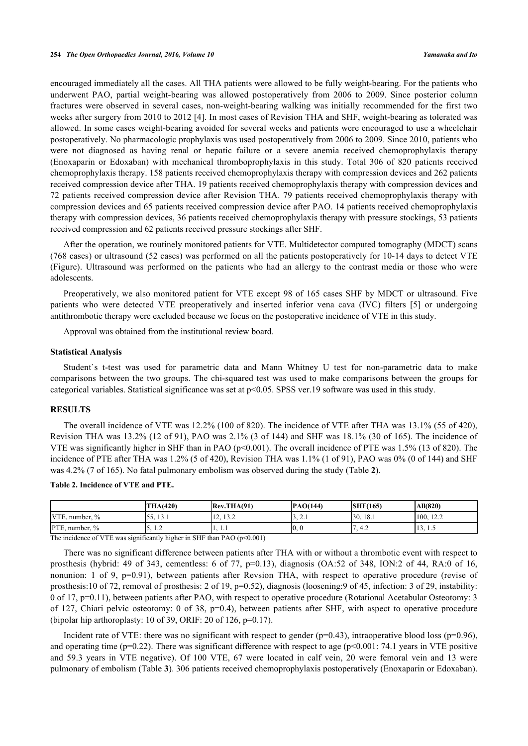encouraged immediately all the cases. All THA patients were allowed to be fully weight-bearing. For the patients who underwent PAO, partial weight-bearing was allowed postoperatively from 2006 to 2009. Since posterior column fractures were observed in several cases, non-weight-bearing walking was initially recommended for the first two weeks after surgery from 2010 to 2012 [\[4](#page-5-3)]. In most cases of Revision THA and SHF, weight-bearing as tolerated was allowed. In some cases weight-bearing avoided for several weeks and patients were encouraged to use a wheelchair postoperatively. No pharmacologic prophylaxis was used postoperatively from 2006 to 2009. Since 2010, patients who were not diagnosed as having renal or hepatic failure or a severe anemia received chemoprophylaxis therapy (Enoxaparin or Edoxaban) with mechanical thromboprophylaxis in this study. Total 306 of 820 patients received chemoprophylaxis therapy. 158 patients received chemoprophylaxis therapy with compression devices and 262 patients received compression device after THA. 19 patients received chemoprophylaxis therapy with compression devices and 72 patients received compression device after Revision THA. 79 patients received chemoprophylaxis therapy with compression devices and 65 patients received compression device after PAO. 14 patients received chemoprophylaxis therapy with compression devices, 36 patients received chemoprophylaxis therapy with pressure stockings, 53 patients received compression and 62 patients received pressure stockings after SHF.

After the operation, we routinely monitored patients for VTE. Multidetector computed tomography (MDCT) scans (768 cases) or ultrasound (52 cases) was performed on all the patients postoperatively for 10-14 days to detect VTE (Figure). Ultrasound was performed on the patients who had an allergy to the contrast media or those who were adolescents.

Preoperatively, we also monitored patient for VTE except 98 of 165 cases SHF by MDCT or ultrasound. Five patients who were detected VTE preoperatively and inserted inferior vena cava (IVC) filters[[5](#page-5-4)] or undergoing antithrombotic therapy were excluded because we focus on the postoperative incidence of VTE in this study.

Approval was obtained from the institutional review board.

#### **Statistical Analysis**

Student`s t-test was used for parametric data and Mann Whitney U test for non-parametric data to make comparisons between the two groups. The chi-squared test was used to make comparisons between the groups for categorical variables. Statistical significance was set at p<0.05. SPSS ver.19 software was used in this study.

# **RESULTS**

The overall incidence of VTE was 12.2% (100 of 820). The incidence of VTE after THA was 13.1% (55 of 420), Revision THA was 13.2% (12 of 91), PAO was 2.1% (3 of 144) and SHF was 18.1% (30 of 165). The incidence of VTE was significantly higher in SHF than in PAO ( $p<0.001$ ). The overall incidence of PTE was 1.5% (13 of 820). The incidence of PTE after THA was 1.2% (5 of 420), Revision THA was 1.1% (1 of 91), PAO was 0% (0 of 144) and SHF was 4.2% (7 of 165). No fatal pulmonary embolism was observed during the study (Table **[2](#page-2-0)**).

|                            | <b>THA(420)</b>            | Rev.THA(91)        | PAO(144)         | SHF(165)    | All(820)                           |
|----------------------------|----------------------------|--------------------|------------------|-------------|------------------------------------|
| VTE.<br>number, $\%$       | $\epsilon$<br>121<br>-12.1 | 122<br>1/2<br>ے. ب | $\sim$<br>J, L.1 | 130<br>18.1 | 100.<br>10 <sub>2</sub><br>$1 + L$ |
| <b>PTE.</b><br>number. $%$ | .                          | 1. 1.1             | IO. O            | 4.2         | 1.3, 1.3                           |

# <span id="page-2-0"></span>**Table 2. Incidence of VTE and PTE.**

The incidence of VTE was significantly higher in SHF than PAO  $(p<0.001)$ 

There was no significant difference between patients after THA with or without a thrombotic event with respect to prosthesis (hybrid: 49 of 343, cementless: 6 of 77,  $p=0.13$ ), diagnosis (OA:52 of 348, ION:2 of 44, RA:0 of 16, nonunion: 1 of 9, p=0.91), between patients after Revsion THA, with respect to operative procedure (revise of prosthesis:10 of 72, removal of prosthesis: 2 of 19, p=0.52), diagnosis (loosening:9 of 45, infection: 3 of 29, instability: 0 of 17, p=0.11), between patients after PAO, with respect to operative procedure (Rotational Acetabular Osteotomy: 3 of 127, Chiari pelvic osteotomy: 0 of 38, p=0.4), between patients after SHF, with aspect to operative procedure (bipolar hip arthoroplasty: 10 of 39, ORIF: 20 of 126,  $p=0.17$ ).

Incident rate of VTE: there was no significant with respect to gender ( $p=0.43$ ), intraoperative blood loss ( $p=0.96$ ), and operating time ( $p=0.22$ ). There was significant difference with respect to age ( $p<0.001$ : 74.1 years in VTE positive and 59.3 years in VTE negative). Of 100 VTE, 67 were located in calf vein, 20 were femoral vein and 13 were pulmonary of embolism (Table **[3](#page-3-0)**). 306 patients received chemoprophylaxis postoperatively (Enoxaparin or Edoxaban).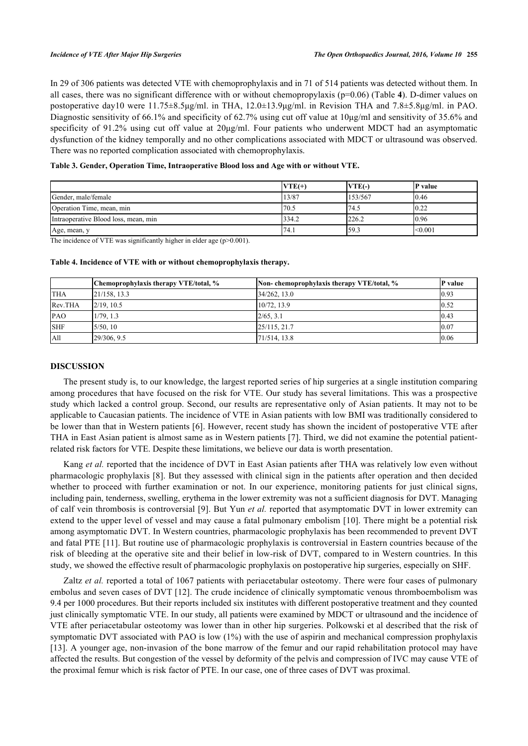In 29 of 306 patients was detected VTE with chemoprophylaxis and in 71 of 514 patients was detected without them. In all cases, there was no significant difference with or without chemopropylaxis (p=0.06) (Table **[4](#page-3-1)**). D-dimer values on postoperative day10 were 11.75±8.5μg/ml. in THA, 12.0±13.9μg/ml. in Revision THA and 7.8±5.8μg/ml. in PAO. Diagnostic sensitivity of 66.1% and specificity of 62.7% using cut off value at 10μg/ml and sensitivity of 35.6% and specificity of 91.2% using cut off value at 20μg/ml. Four patients who underwent MDCT had an asymptomatic dysfunction of the kidney temporally and no other complications associated with MDCT or ultrasound was observed. There was no reported complication associated with chemoprophylaxis.

<span id="page-3-0"></span>**Table 3. Gender, Operation Time, Intraoperative Blood loss and Age with or without VTE.**

|                                      | $VTE(+)$ | <b>VTE</b> (-) | P value |
|--------------------------------------|----------|----------------|---------|
| Gender, male/female                  | 13/87    | 153/567        | 0.46    |
| Operation Time, mean, min            | 70.5     | 174.5          | 0.22    |
| Intraoperative Blood loss, mean, min | 334.2    | 226.2          | 0.96    |
| Age, mean, y                         | 74.1     | 159.3          | < 0.001 |

The incidence of VTE was significantly higher in elder age (p>0.001).

|            | Chemoprophylaxis therapy VTE/total, % | Non-chemoprophylaxis therapy VTE/total, % | P value |
|------------|---------------------------------------|-------------------------------------------|---------|
| <b>THA</b> | 21/158, 13.3                          | $34/262$ , 13.0                           | 0.93    |
| Rev.THA    | 2/19.10.5                             | 10/72, 13.9                               | 0.52    |
| PAO        | 1/79.1.3                              | 2/65, 3.1                                 | 0.43    |
| <b>SHF</b> | 5/50, 10                              | 25/115, 21.7                              | 0.07    |

All 29/306, 9.5 2012 20:306, 9.5 2013 20:306, 9.5 20:306, 9.5 20:306, 9.5 20:306, 9.5 20:306, 9.5 20:306, 9.7 20:306, 9.7 20:306, 9.7 20:306, 9.7 20:306, 9.7 20:306, 9.7 20:306, 9.7 20:306, 9.7 20:306, 9.7 20:306, 9.7 20:3

# <span id="page-3-1"></span>**Table 4. Incidence of VTE with or without chemoprophylaxis therapy.**

# **DISCUSSION**

The present study is, to our knowledge, the largest reported series of hip surgeries at a single institution comparing among procedures that have focused on the risk for VTE. Our study has several limitations. This was a prospective study which lacked a control group. Second, our results are representative only of Asian patients. It may not to be applicable to Caucasian patients. The incidence of VTE in Asian patients with low BMI was traditionally considered to be lower than that in Western patients [\[6](#page-5-5)]. However, recent study has shown the incident of postoperative VTE after THA in East Asian patient is almost same as in Western patients [\[7](#page-5-6)]. Third, we did not examine the potential patientrelated risk factors for VTE. Despite these limitations, we believe our data is worth presentation.

Kang *et al.* reported that the incidence of DVT in East Asian patients after THA was relatively low even without pharmacologic prophylaxis [[8\]](#page-5-7). But they assessed with clinical sign in the patients after operation and then decided whether to proceed with further examination or not. In our experience, monitoring patients for just clinical signs, including pain, tenderness, swelling, erythema in the lower extremity was not a sufficient diagnosis for DVT. Managing of calf vein thrombosis is controversial [[9\]](#page-5-8). But Yun *et al.* reported that asymptomatic DVT in lower extremity can extend to the upper level of vessel and may cause a fatal pulmonary embolism [[10\]](#page-5-9). There might be a potential risk among asymptomatic DVT. In Western countries, pharmacologic prophylaxis has been recommended to prevent DVT and fatal PTE [\[11\]](#page-5-10). But routine use of pharmacologic prophylaxis is controversial in Eastern countries because of the risk of bleeding at the operative site and their belief in low-risk of DVT, compared to in Western countries. In this study, we showed the effective result of pharmacologic prophylaxis on postoperative hip surgeries, especially on SHF.

Zaltz *et al.* reported a total of 1067 patients with periacetabular osteotomy. There were four cases of pulmonary embolus and seven cases of DVT [[12\]](#page-5-11). The crude incidence of clinically symptomatic venous thromboembolism was 9.4 per 1000 procedures. But their reports included six institutes with different postoperative treatment and they counted just clinically symptomatic VTE. In our study, all patients were examined by MDCT or ultrasound and the incidence of VTE after periacetabular osteotomy was lower than in other hip surgeries. Polkowski et al described that the risk of symptomatic DVT associated with PAO is low (1%) with the use of aspirin and mechanical compression prophylaxis [\[13](#page-5-12)]. A younger age, non-invasion of the bone marrow of the femur and our rapid rehabilitation protocol may have affected the results. But congestion of the vessel by deformity of the pelvis and compression of IVC may cause VTE of the proximal femur which is risk factor of PTE. In our case, one of three cases of DVT was proximal.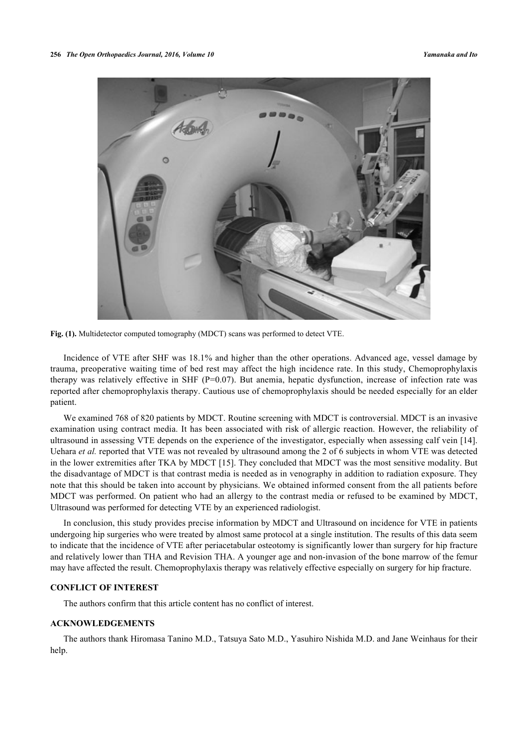

**Fig. (1).** Multidetector computed tomography (MDCT) scans was performed to detect VTE.

Incidence of VTE after SHF was 18.1% and higher than the other operations. Advanced age, vessel damage by trauma, preoperative waiting time of bed rest may affect the high incidence rate. In this study, Chemoprophylaxis therapy was relatively effective in SHF ( $P=0.07$ ). But anemia, hepatic dysfunction, increase of infection rate was reported after chemoprophylaxis therapy. Cautious use of chemoprophylaxis should be needed especially for an elder patient.

We examined 768 of 820 patients by MDCT. Routine screening with MDCT is controversial. MDCT is an invasive examination using contract media. It has been associated with risk of allergic reaction. However, the reliability of ultrasound in assessing VTE depends on the experience of the investigator, especially when assessing calf vein [\[14\]](#page-5-13). Uehara *et al.* reported that VTE was not revealed by ultrasound among the 2 of 6 subjects in whom VTE was detected in the lower extremities after TKA by MDCT [\[15](#page-5-14)]. They concluded that MDCT was the most sensitive modality. But the disadvantage of MDCT is that contrast media is needed as in venography in addition to radiation exposure. They note that this should be taken into account by physicians. We obtained informed consent from the all patients before MDCT was performed. On patient who had an allergy to the contrast media or refused to be examined by MDCT, Ultrasound was performed for detecting VTE by an experienced radiologist.

In conclusion, this study provides precise information by MDCT and Ultrasound on incidence for VTE in patients undergoing hip surgeries who were treated by almost same protocol at a single institution. The results of this data seem to indicate that the incidence of VTE after periacetabular osteotomy is significantly lower than surgery for hip fracture and relatively lower than THA and Revision THA. A younger age and non-invasion of the bone marrow of the femur may have affected the result. Chemoprophylaxis therapy was relatively effective especially on surgery for hip fracture.

# **CONFLICT OF INTEREST**

The authors confirm that this article content has no conflict of interest.

# **ACKNOWLEDGEMENTS**

The authors thank Hiromasa Tanino M.D., Tatsuya Sato M.D., Yasuhiro Nishida M.D. and Jane Weinhaus for their help.